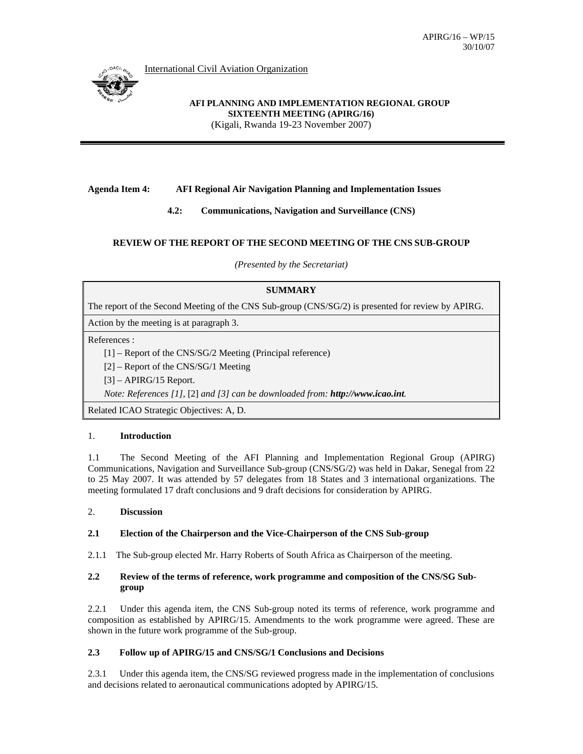International Civil Aviation Organization



**AFI PLANNING AND IMPLEMENTATION REGIONAL GROUP SIXTEENTH MEETING (APIRG/16)**  (Kigali, Rwanda 19-23 November 2007)

# **Agenda Item 4: AFI Regional Air Navigation Planning and Implementation Issues**

**4.2: Communications, Navigation and Surveillance (CNS)** 

# **REVIEW OF THE REPORT OF THE SECOND MEETING OF THE CNS SUB-GROUP**

*(Presented by the Secretariat)* 

# **SUMMARY**

The report of the Second Meeting of the CNS Sub-group (CNS/SG/2) is presented for review by APIRG.

Action by the meeting is at paragraph 3.

References :

[1] – Report of the CNS/SG/2 Meeting (Principal reference)

[2] – Report of the CNS/SG/1 Meeting

 $[3]$  – APIRG/15 Report.

*Note: References [1],* [2] *and [3] can be downloaded from: http://www.icao.int.* 

Related ICAO Strategic Objectives: A, D.

### 1. **Introduction**

1.1 The Second Meeting of the AFI Planning and Implementation Regional Group (APIRG) Communications, Navigation and Surveillance Sub-group (CNS/SG/2) was held in Dakar, Senegal from 22 to 25 May 2007. It was attended by 57 delegates from 18 States and 3 international organizations. The meeting formulated 17 draft conclusions and 9 draft decisions for consideration by APIRG.

# 2. **Discussion**

### **2.1 Election of the Chairperson and the Vice-Chairperson of the CNS Sub-group**

2.1.1 The Sub-group elected Mr. Harry Roberts of South Africa as Chairperson of the meeting.

# **2.2 Review of the terms of reference, work programme and composition of the CNS/SG Sub group**

2.2.1 Under this agenda item, the CNS Sub-group noted its terms of reference, work programme and composition as established by APIRG/15. Amendments to the work programme were agreed. These are shown in the future work programme of the Sub-group.

# **2.3 Follow up of APIRG/15 and CNS/SG/1 Conclusions and Decisions**

2.3.1 Under this agenda item, the CNS/SG reviewed progress made in the implementation of conclusions and decisions related to aeronautical communications adopted by APIRG/15.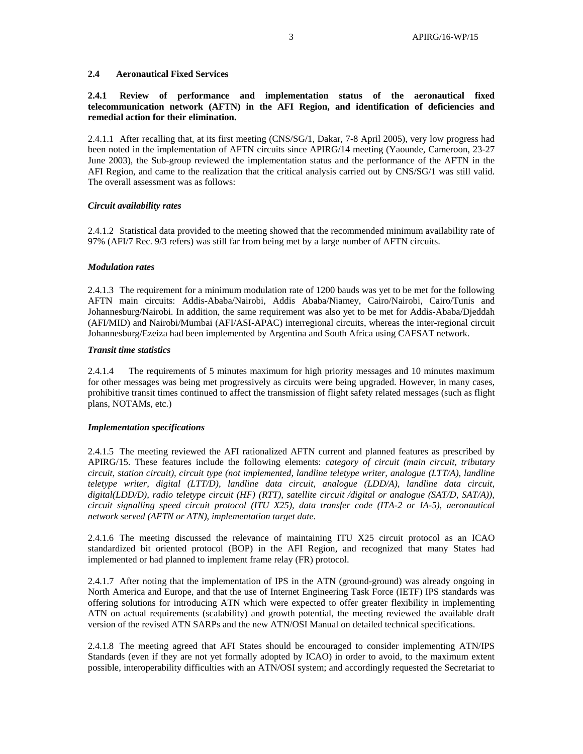## **2.4 Aeronautical Fixed Services**

# **2.4.1 Review of performance and implementation status of the aeronautical fixed telecommunication network (AFTN) in the AFI Region, and identification of deficiencies and remedial action for their elimination.**

2.4.1.1 After recalling that, at its first meeting (CNS/SG/1, Dakar, 7-8 April 2005), very low progress had been noted in the implementation of AFTN circuits since APIRG/14 meeting (Yaounde, Cameroon, 23-27 June 2003), the Sub-group reviewed the implementation status and the performance of the AFTN in the AFI Region, and came to the realization that the critical analysis carried out by CNS/SG/1 was still valid. The overall assessment was as follows:

#### *Circuit availability rates*

2.4.1.2 Statistical data provided to the meeting showed that the recommended minimum availability rate of 97% (AFI/7 Rec. 9/3 refers) was still far from being met by a large number of AFTN circuits.

### *Modulation rates*

2.4.1.3 The requirement for a minimum modulation rate of 1200 bauds was yet to be met for the following AFTN main circuits: Addis-Ababa/Nairobi, Addis Ababa/Niamey, Cairo/Nairobi, Cairo/Tunis and Johannesburg/Nairobi. In addition, the same requirement was also yet to be met for Addis-Ababa/Djeddah (AFI/MID) and Nairobi/Mumbai (AFI/ASI-APAC) interregional circuits, whereas the inter-regional circuit Johannesburg/Ezeiza had been implemented by Argentina and South Africa using CAFSAT network.

### *Transit time statistics*

2.4.1.4 The requirements of 5 minutes maximum for high priority messages and 10 minutes maximum for other messages was being met progressively as circuits were being upgraded. However, in many cases, prohibitive transit times continued to affect the transmission of flight safety related messages (such as flight plans, NOTAMs, etc.)

#### *Implementation specifications*

2.4.1.5 The meeting reviewed the AFI rationalized AFTN current and planned features as prescribed by APIRG/15. These features include the following elements: *category of circuit (main circuit, tributary circuit, station circuit), circuit type (not implemented, landline teletype writer, analogue (LTT/A), landline teletype writer, digital (LTT/D), landline data circuit, analogue (LDD/A), landline data circuit, digital(LDD/D), radio teletype circuit (HF) (RTT), satellite circuit /digital or analogue (SAT/D, SAT/A)), circuit signalling speed circuit protocol (ITU X25), data transfer code (ITA-2 or IA-5), aeronautical network served (AFTN or ATN), implementation target date.* 

2.4.1.6 The meeting discussed the relevance of maintaining ITU X25 circuit protocol as an ICAO standardized bit oriented protocol (BOP) in the AFI Region, and recognized that many States had implemented or had planned to implement frame relay (FR) protocol.

2.4.1.7 After noting that the implementation of IPS in the ATN (ground-ground) was already ongoing in North America and Europe, and that the use of Internet Engineering Task Force (IETF) IPS standards was offering solutions for introducing ATN which were expected to offer greater flexibility in implementing ATN on actual requirements (scalability) and growth potential, the meeting reviewed the available draft version of the revised ATN SARPs and the new ATN/OSI Manual on detailed technical specifications.

2.4.1.8 The meeting agreed that AFI States should be encouraged to consider implementing ATN/IPS Standards (even if they are not yet formally adopted by ICAO) in order to avoid, to the maximum extent possible, interoperability difficulties with an ATN/OSI system; and accordingly requested the Secretariat to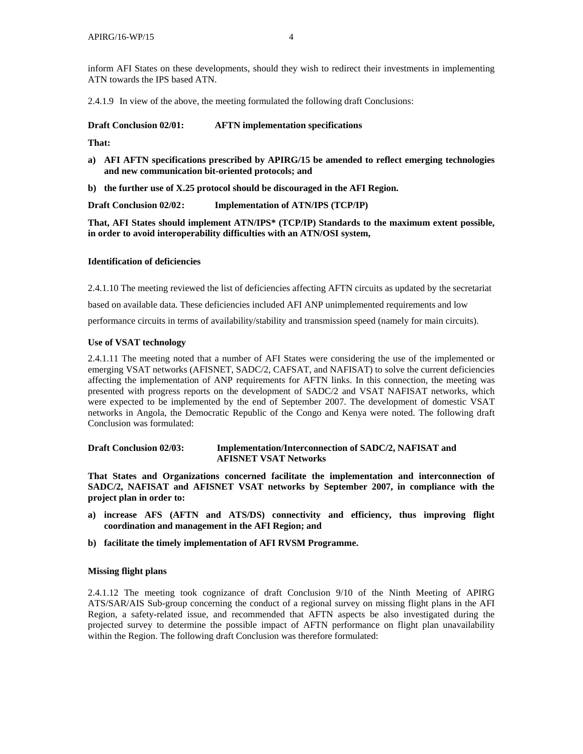inform AFI States on these developments, should they wish to redirect their investments in implementing ATN towards the IPS based ATN.

2.4.1.9 In view of the above, the meeting formulated the following draft Conclusions:

**Draft Conclusion 02/01: AFTN implementation specifications** 

**That:** 

- **a) AFI AFTN specifications prescribed by APIRG/15 be amended to reflect emerging technologies and new communication bit-oriented protocols; and**
- **b) the further use of X.25 protocol should be discouraged in the AFI Region.**

**Draft Conclusion 02/02:** Implementation of ATN/IPS (TCP/IP)

**That, AFI States should implement ATN/IPS\* (TCP/IP) Standards to the maximum extent possible, in order to avoid interoperability difficulties with an ATN/OSI system,** 

### **Identification of deficiencies**

2.4.1.10 The meeting reviewed the list of deficiencies affecting AFTN circuits as updated by the secretariat

based on available data. These deficiencies included AFI ANP unimplemented requirements and low

performance circuits in terms of availability/stability and transmission speed (namely for main circuits).

#### **Use of VSAT technology**

2.4.1.11 The meeting noted that a number of AFI States were considering the use of the implemented or emerging VSAT networks (AFISNET, SADC/2, CAFSAT, and NAFISAT) to solve the current deficiencies affecting the implementation of ANP requirements for AFTN links. In this connection, the meeting was presented with progress reports on the development of SADC/2 and VSAT NAFISAT networks, which were expected to be implemented by the end of September 2007. The development of domestic VSAT networks in Angola, the Democratic Republic of the Congo and Kenya were noted. The following draft Conclusion was formulated:

### **Draft Conclusion 02/03: Implementation/Interconnection of SADC/2, NAFISAT and AFISNET VSAT Networks**

**That States and Organizations concerned facilitate the implementation and interconnection of SADC/2, NAFISAT and AFISNET VSAT networks by September 2007, in compliance with the project plan in order to:** 

- **a) increase AFS (AFTN and ATS/DS) connectivity and efficiency, thus improving flight coordination and management in the AFI Region; and**
- **b) facilitate the timely implementation of AFI RVSM Programme.**

#### **Missing flight plans**

2.4.1.12 The meeting took cognizance of draft Conclusion 9/10 of the Ninth Meeting of APIRG ATS/SAR/AIS Sub-group concerning the conduct of a regional survey on missing flight plans in the AFI Region, a safety-related issue, and recommended that AFTN aspects be also investigated during the projected survey to determine the possible impact of AFTN performance on flight plan unavailability within the Region. The following draft Conclusion was therefore formulated: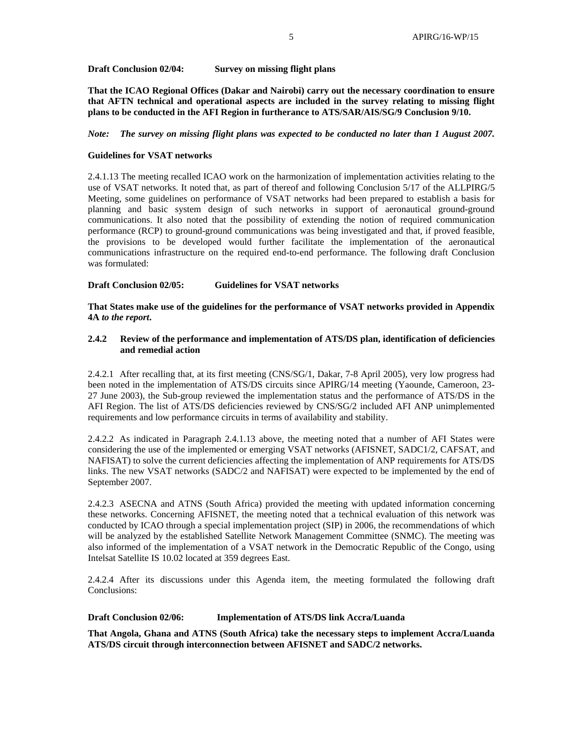### **Draft Conclusion 02/04: Survey on missing flight plans**

**That the ICAO Regional Offices (Dakar and Nairobi) carry out the necessary coordination to ensure that AFTN technical and operational aspects are included in the survey relating to missing flight plans to be conducted in the AFI Region in furtherance to ATS/SAR/AIS/SG/9 Conclusion 9/10.** 

### *Note: The survey on missing flight plans was expected to be conducted no later than 1 August 2007.*

#### **Guidelines for VSAT networks**

2.4.1.13 The meeting recalled ICAO work on the harmonization of implementation activities relating to the use of VSAT networks. It noted that, as part of thereof and following Conclusion 5/17 of the ALLPIRG/5 Meeting, some guidelines on performance of VSAT networks had been prepared to establish a basis for planning and basic system design of such networks in support of aeronautical ground-ground communications. It also noted that the possibility of extending the notion of required communication performance (RCP) to ground-ground communications was being investigated and that, if proved feasible, the provisions to be developed would further facilitate the implementation of the aeronautical communications infrastructure on the required end-to-end performance. The following draft Conclusion was formulated:

### **Draft Conclusion 02/05: Guidelines for VSAT networks**

**That States make use of the guidelines for the performance of VSAT networks provided in Appendix 4A** *to the report***.**

### **2.4.2 Review of the performance and implementation of ATS/DS plan, identification of deficiencies and remedial action**

2.4.2.1 After recalling that, at its first meeting (CNS/SG/1, Dakar, 7-8 April 2005), very low progress had been noted in the implementation of ATS/DS circuits since APIRG/14 meeting (Yaounde, Cameroon, 23- 27 June 2003), the Sub-group reviewed the implementation status and the performance of ATS/DS in the AFI Region. The list of ATS/DS deficiencies reviewed by CNS/SG/2 included AFI ANP unimplemented requirements and low performance circuits in terms of availability and stability.

2.4.2.2 As indicated in Paragraph 2.4.1.13 above, the meeting noted that a number of AFI States were considering the use of the implemented or emerging VSAT networks (AFISNET, SADC1/2, CAFSAT, and NAFISAT) to solve the current deficiencies affecting the implementation of ANP requirements for ATS/DS links. The new VSAT networks (SADC/2 and NAFISAT) were expected to be implemented by the end of September 2007.

2.4.2.3 ASECNA and ATNS (South Africa) provided the meeting with updated information concerning these networks. Concerning AFISNET, the meeting noted that a technical evaluation of this network was conducted by ICAO through a special implementation project (SIP) in 2006, the recommendations of which will be analyzed by the established Satellite Network Management Committee (SNMC). The meeting was also informed of the implementation of a VSAT network in the Democratic Republic of the Congo, using Intelsat Satellite IS 10.02 located at 359 degrees East.

2.4.2.4 After its discussions under this Agenda item, the meeting formulated the following draft Conclusions:

### **Draft Conclusion 02/06: Implementation of ATS/DS link Accra/Luanda**

**That Angola, Ghana and ATNS (South Africa) take the necessary steps to implement Accra/Luanda ATS/DS circuit through interconnection between AFISNET and SADC/2 networks.**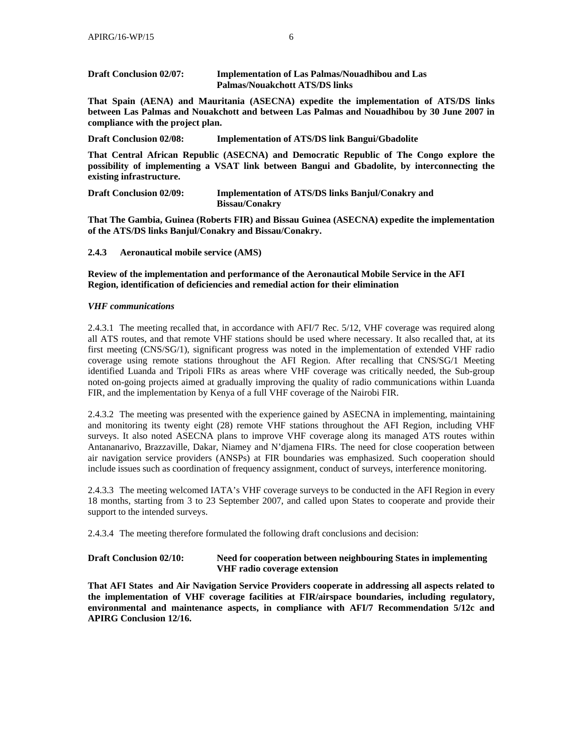| <b>Draft Conclusion 02/07:</b> | <b>Implementation of Las Palmas/Nouadhibou and Las</b> |
|--------------------------------|--------------------------------------------------------|
|                                | <b>Palmas/Nouakchott ATS/DS links</b>                  |

**That Spain (AENA) and Mauritania (ASECNA) expedite the implementation of ATS/DS links between Las Palmas and Nouakchott and between Las Palmas and Nouadhibou by 30 June 2007 in compliance with the project plan.** 

**Draft Conclusion 02/08: Implementation of ATS/DS link Bangui/Gbadolite** 

**That Central African Republic (ASECNA) and Democratic Republic of The Congo explore the possibility of implementing a VSAT link between Bangui and Gbadolite, by interconnecting the existing infrastructure.** 

| <b>Draft Conclusion 02/09:</b> | <b>Implementation of ATS/DS links Banjul/Conakry and</b> |
|--------------------------------|----------------------------------------------------------|
|                                | <b>Bissau/Conakry</b>                                    |

**That The Gambia, Guinea (Roberts FIR) and Bissau Guinea (ASECNA) expedite the implementation of the ATS/DS links Banjul/Conakry and Bissau/Conakry.** 

### **2.4.3 Aeronautical mobile service (AMS)**

**Review of the implementation and performance of the Aeronautical Mobile Service in the AFI Region, identification of deficiencies and remedial action for their elimination** 

### *VHF communications*

2.4.3.1 The meeting recalled that, in accordance with AFI/7 Rec. 5/12, VHF coverage was required along all ATS routes, and that remote VHF stations should be used where necessary. It also recalled that, at its first meeting (CNS/SG/1), significant progress was noted in the implementation of extended VHF radio coverage using remote stations throughout the AFI Region. After recalling that CNS/SG/1 Meeting identified Luanda and Tripoli FIRs as areas where VHF coverage was critically needed, the Sub-group noted on-going projects aimed at gradually improving the quality of radio communications within Luanda FIR, and the implementation by Kenya of a full VHF coverage of the Nairobi FIR.

2.4.3.2 The meeting was presented with the experience gained by ASECNA in implementing, maintaining and monitoring its twenty eight (28) remote VHF stations throughout the AFI Region, including VHF surveys. It also noted ASECNA plans to improve VHF coverage along its managed ATS routes within Antananarivo, Brazzaville, Dakar, Niamey and N'djamena FIRs. The need for close cooperation between air navigation service providers (ANSPs) at FIR boundaries was emphasized. Such cooperation should include issues such as coordination of frequency assignment, conduct of surveys, interference monitoring.

2.4.3.3 The meeting welcomed IATA's VHF coverage surveys to be conducted in the AFI Region in every 18 months, starting from 3 to 23 September 2007, and called upon States to cooperate and provide their support to the intended surveys.

2.4.3.4 The meeting therefore formulated the following draft conclusions and decision:

# **Draft Conclusion 02/10: Need for cooperation between neighbouring States in implementing VHF radio coverage extension**

**That AFI States and Air Navigation Service Providers cooperate in addressing all aspects related to the implementation of VHF coverage facilities at FIR/airspace boundaries, including regulatory, environmental and maintenance aspects, in compliance with AFI/7 Recommendation 5/12c and APIRG Conclusion 12/16.**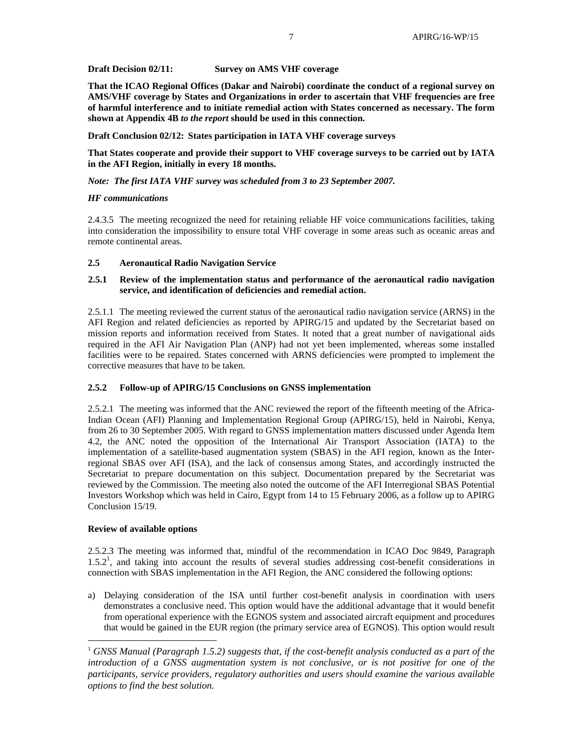**Draft Decision 02/11: Survey on AMS VHF coverage** 

**That the ICAO Regional Offices (Dakar and Nairobi) coordinate the conduct of a regional survey on AMS/VHF coverage by States and Organizations in order to ascertain that VHF frequencies are free of harmful interference and to initiate remedial action with States concerned as necessary. The form shown at Appendix 4B** *to the report* **should be used in this connection.** 

**Draft Conclusion 02/12: States participation in IATA VHF coverage surveys** 

**That States cooperate and provide their support to VHF coverage surveys to be carried out by IATA in the AFI Region, initially in every 18 months.** 

*Note: The first IATA VHF survey was scheduled from 3 to 23 September 2007.* 

#### *HF communications*

2.4.3.5 The meeting recognized the need for retaining reliable HF voice communications facilities, taking into consideration the impossibility to ensure total VHF coverage in some areas such as oceanic areas and remote continental areas.

#### **2.5 Aeronautical Radio Navigation Service**

### **2.5.1 Review of the implementation status and performance of the aeronautical radio navigation service, and identification of deficiencies and remedial action.**

2.5.1.1 The meeting reviewed the current status of the aeronautical radio navigation service (ARNS) in the AFI Region and related deficiencies as reported by APIRG/15 and updated by the Secretariat based on mission reports and information received from States. It noted that a great number of navigational aids required in the AFI Air Navigation Plan (ANP) had not yet been implemented, whereas some installed facilities were to be repaired. States concerned with ARNS deficiencies were prompted to implement the corrective measures that have to be taken.

# **2.5.2 Follow-up of APIRG/15 Conclusions on GNSS implementation**

2.5.2.1 The meeting was informed that the ANC reviewed the report of the fifteenth meeting of the Africa-Indian Ocean (AFI) Planning and Implementation Regional Group (APIRG/15), held in Nairobi, Kenya, from 26 to 30 September 2005. With regard to GNSS implementation matters discussed under Agenda Item 4.2, the ANC noted the opposition of the International Air Transport Association (IATA) to the implementation of a satellite-based augmentation system (SBAS) in the AFI region, known as the Interregional SBAS over AFI (ISA), and the lack of consensus among States, and accordingly instructed the Secretariat to prepare documentation on this subject. Documentation prepared by the Secretariat was reviewed by the Commission. The meeting also noted the outcome of the AFI Interregional SBAS Potential Investors Workshop which was held in Cairo, Egypt from 14 to 15 February 2006, as a follow up to APIRG Conclusion 15/19.

# **Review of available options**

 $\overline{a}$ 

2.5.2.3 The meeting was informed that, mindful of the recommendation in ICAO Doc 9849, Paragraph 1.5.2<sup>1</sup>, and taking into account the results of several studies addressing cost-benefit considerations in connection with SBAS implementation in the AFI Region, the ANC considered the following options:

a) Delaying consideration of the ISA until further cost-benefit analysis in coordination with users demonstrates a conclusive need. This option would have the additional advantage that it would benefit from operational experience with the EGNOS system and associated aircraft equipment and procedures that would be gained in the EUR region (the primary service area of EGNOS). This option would result

<sup>1</sup> *GNSS Manual (Paragraph 1.5.2) suggests that, if the cost-benefit analysis conducted as a part of the introduction of a GNSS augmentation system is not conclusive, or is not positive for one of the participants, service providers, regulatory authorities and users should examine the various available options to find the best solution.*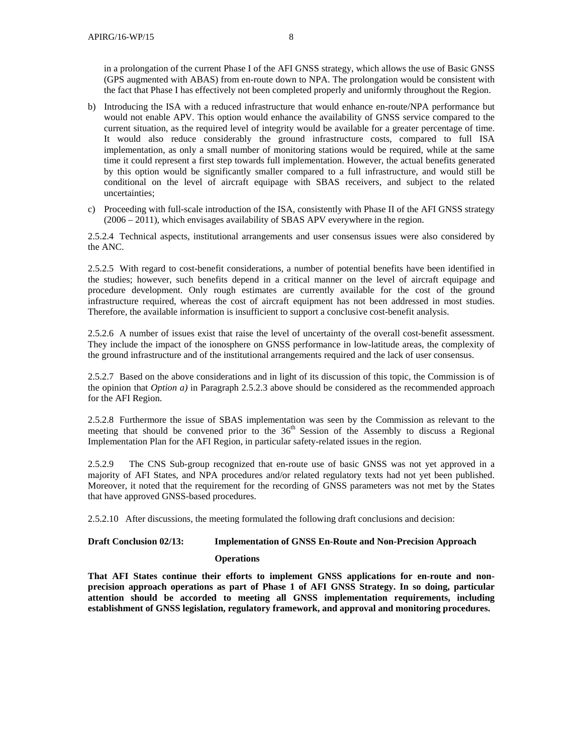in a prolongation of the current Phase I of the AFI GNSS strategy, which allows the use of Basic GNSS (GPS augmented with ABAS) from en-route down to NPA. The prolongation would be consistent with the fact that Phase I has effectively not been completed properly and uniformly throughout the Region.

- b) Introducing the ISA with a reduced infrastructure that would enhance en-route/NPA performance but would not enable APV. This option would enhance the availability of GNSS service compared to the current situation, as the required level of integrity would be available for a greater percentage of time. It would also reduce considerably the ground infrastructure costs, compared to full ISA implementation, as only a small number of monitoring stations would be required, while at the same time it could represent a first step towards full implementation. However, the actual benefits generated by this option would be significantly smaller compared to a full infrastructure, and would still be conditional on the level of aircraft equipage with SBAS receivers, and subject to the related uncertainties;
- c) Proceeding with full-scale introduction of the ISA, consistently with Phase II of the AFI GNSS strategy (2006 – 2011), which envisages availability of SBAS APV everywhere in the region.

2.5.2.4 Technical aspects, institutional arrangements and user consensus issues were also considered by the ANC.

2.5.2.5 With regard to cost-benefit considerations, a number of potential benefits have been identified in the studies; however, such benefits depend in a critical manner on the level of aircraft equipage and procedure development. Only rough estimates are currently available for the cost of the ground infrastructure required, whereas the cost of aircraft equipment has not been addressed in most studies. Therefore, the available information is insufficient to support a conclusive cost-benefit analysis.

2.5.2.6 A number of issues exist that raise the level of uncertainty of the overall cost-benefit assessment. They include the impact of the ionosphere on GNSS performance in low-latitude areas, the complexity of the ground infrastructure and of the institutional arrangements required and the lack of user consensus.

2.5.2.7 Based on the above considerations and in light of its discussion of this topic, the Commission is of the opinion that *Option a)* in Paragraph 2.5.2.3 above should be considered as the recommended approach for the AFI Region.

2.5.2.8 Furthermore the issue of SBAS implementation was seen by the Commission as relevant to the meeting that should be convened prior to the  $36<sup>th</sup>$  Session of the Assembly to discuss a Regional Implementation Plan for the AFI Region, in particular safety-related issues in the region.

2.5.2.9 The CNS Sub-group recognized that en-route use of basic GNSS was not yet approved in a majority of AFI States, and NPA procedures and/or related regulatory texts had not yet been published. Moreover, it noted that the requirement for the recording of GNSS parameters was not met by the States that have approved GNSS-based procedures.

2.5.2.10 After discussions, the meeting formulated the following draft conclusions and decision:

# **Draft Conclusion 02/13: Implementation of GNSS En-Route and Non-Precision Approach**

#### **Operations**

**That AFI States continue their efforts to implement GNSS applications for en-route and nonprecision approach operations as part of Phase 1 of AFI GNSS Strategy. In so doing, particular attention should be accorded to meeting all GNSS implementation requirements, including establishment of GNSS legislation, regulatory framework, and approval and monitoring procedures.**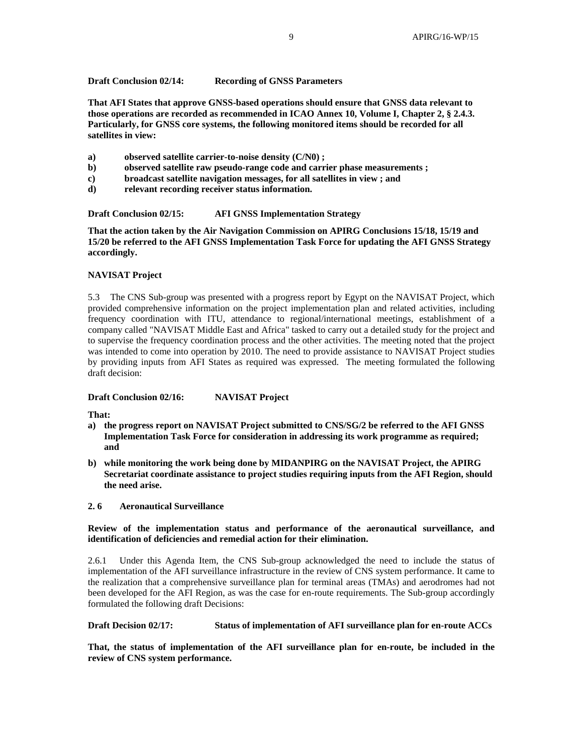# **Draft Conclusion 02/14: Recording of GNSS Parameters**

**That AFI States that approve GNSS-based operations should ensure that GNSS data relevant to those operations are recorded as recommended in ICAO Annex 10, Volume I, Chapter 2, § 2.4.3. Particularly, for GNSS core systems, the following monitored items should be recorded for all satellites in view:** 

- **a) observed satellite carrier-to-noise density (C/N0) ;**
- **b) observed satellite raw pseudo-range code and carrier phase measurements ;**
- **c) broadcast satellite navigation messages, for all satellites in view ; and**
- **d) relevant recording receiver status information.**

# **Draft Conclusion 02/15: AFI GNSS Implementation Strategy**

**That the action taken by the Air Navigation Commission on APIRG Conclusions 15/18, 15/19 and 15/20 be referred to the AFI GNSS Implementation Task Force for updating the AFI GNSS Strategy accordingly.** 

# **NAVISAT Project**

5.3 The CNS Sub-group was presented with a progress report by Egypt on the NAVISAT Project, which provided comprehensive information on the project implementation plan and related activities, including frequency coordination with ITU, attendance to regional/international meetings, establishment of a company called "NAVISAT Middle East and Africa" tasked to carry out a detailed study for the project and to supervise the frequency coordination process and the other activities. The meeting noted that the project was intended to come into operation by 2010. The need to provide assistance to NAVISAT Project studies by providing inputs from AFI States as required was expressed. The meeting formulated the following draft decision:

# **Draft Conclusion 02/16: NAVISAT Project**

### **That:**

- **a) the progress report on NAVISAT Project submitted to CNS/SG/2 be referred to the AFI GNSS Implementation Task Force for consideration in addressing its work programme as required; and**
- **b) while monitoring the work being done by MIDANPIRG on the NAVISAT Project, the APIRG Secretariat coordinate assistance to project studies requiring inputs from the AFI Region, should the need arise.**
- **2. 6 Aeronautical Surveillance**

# **Review of the implementation status and performance of the aeronautical surveillance, and identification of deficiencies and remedial action for their elimination.**

2.6.1 Under this Agenda Item, the CNS Sub-group acknowledged the need to include the status of implementation of the AFI surveillance infrastructure in the review of CNS system performance. It came to the realization that a comprehensive surveillance plan for terminal areas (TMAs) and aerodromes had not been developed for the AFI Region, as was the case for en-route requirements. The Sub-group accordingly formulated the following draft Decisions:

**Draft Decision 02/17: Status of implementation of AFI surveillance plan for en-route ACCs** 

**That, the status of implementation of the AFI surveillance plan for en-route, be included in the review of CNS system performance.**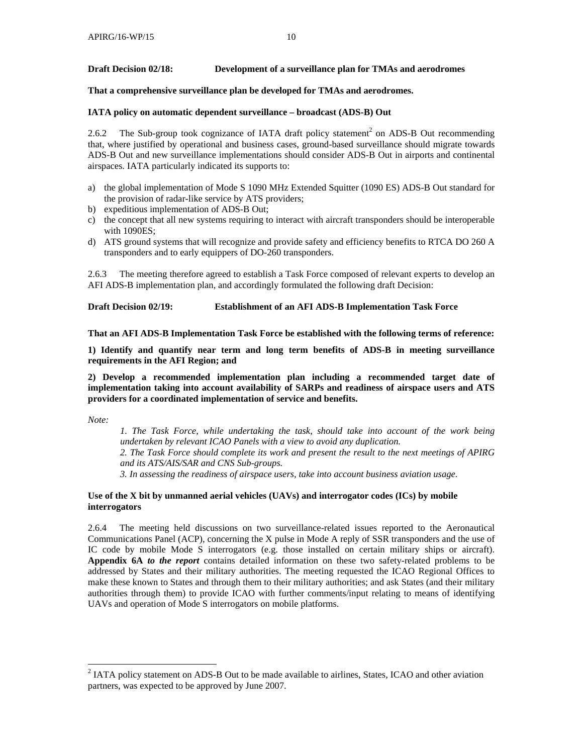# **Draft Decision 02/18: Development of a surveillance plan for TMAs and aerodromes**

**That a comprehensive surveillance plan be developed for TMAs and aerodromes.** 

### **IATA policy on automatic dependent surveillance – broadcast (ADS-B) Out**

2.6.2 The Sub-group took cognizance of IATA draft policy statement<sup>2</sup> on ADS-B Out recommending that, where justified by operational and business cases, ground-based surveillance should migrate towards ADS-B Out and new surveillance implementations should consider ADS-B Out in airports and continental airspaces. IATA particularly indicated its supports to:

- a) the global implementation of Mode S 1090 MHz Extended Squitter (1090 ES) ADS-B Out standard for the provision of radar-like service by ATS providers;
- b) expeditious implementation of ADS-B Out;
- c) the concept that all new systems requiring to interact with aircraft transponders should be interoperable with 1090ES;
- d) ATS ground systems that will recognize and provide safety and efficiency benefits to RTCA DO 260 A transponders and to early equippers of DO-260 transponders.

2.6.3 The meeting therefore agreed to establish a Task Force composed of relevant experts to develop an AFI ADS-B implementation plan, and accordingly formulated the following draft Decision:

### **Draft Decision 02/19: Establishment of an AFI ADS-B Implementation Task Force**

**That an AFI ADS-B Implementation Task Force be established with the following terms of reference:** 

**1) Identify and quantify near term and long term benefits of ADS-B in meeting surveillance requirements in the AFI Region; and** 

**2) Develop a recommended implementation plan including a recommended target date of implementation taking into account availability of SARPs and readiness of airspace users and ATS providers for a coordinated implementation of service and benefits.** 

*Note:* 

 $\overline{\phantom{a}}$ 

*1. The Task Force, while undertaking the task, should take into account of the work being undertaken by relevant ICAO Panels with a view to avoid any duplication. 2. The Task Force should complete its work and present the result to the next meetings of APIRG and its ATS/AIS/SAR and CNS Sub-groups.* 

*3. In assessing the readiness of airspace users, take into account business aviation usage.* 

### **Use of the X bit by unmanned aerial vehicles (UAVs) and interrogator codes (ICs) by mobile interrogators**

2.6.4 The meeting held discussions on two surveillance-related issues reported to the Aeronautical Communications Panel (ACP), concerning the X pulse in Mode A reply of SSR transponders and the use of IC code by mobile Mode S interrogators (e.g. those installed on certain military ships or aircraft). **Appendix 6A** *to the report* contains detailed information on these two safety-related problems to be addressed by States and their military authorities. The meeting requested the ICAO Regional Offices to make these known to States and through them to their military authorities; and ask States (and their military authorities through them) to provide ICAO with further comments/input relating to means of identifying UAVs and operation of Mode S interrogators on mobile platforms.

 $2$  IATA policy statement on ADS-B Out to be made available to airlines, States, ICAO and other aviation partners, was expected to be approved by June 2007.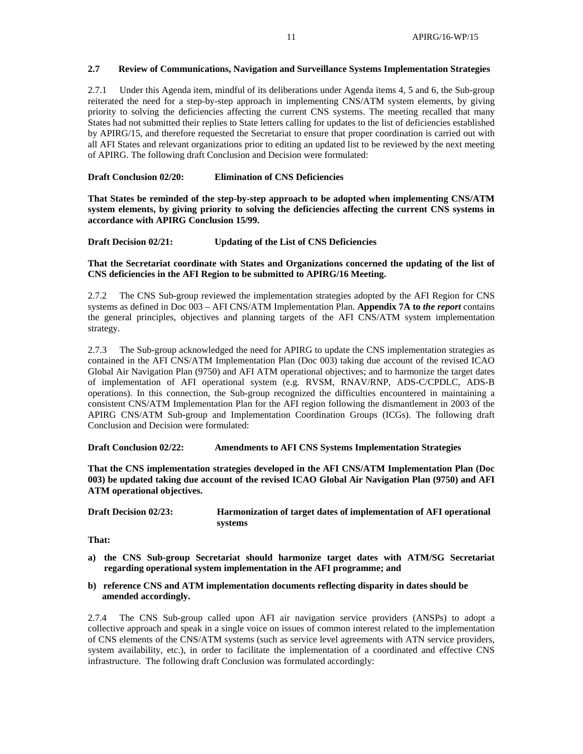# **2.7 Review of Communications, Navigation and Surveillance Systems Implementation Strategies**

2.7.1 Under this Agenda item, mindful of its deliberations under Agenda items 4, 5 and 6, the Sub-group reiterated the need for a step-by-step approach in implementing CNS/ATM system elements, by giving priority to solving the deficiencies affecting the current CNS systems. The meeting recalled that many States had not submitted their replies to State letters calling for updates to the list of deficiencies established by APIRG/15, and therefore requested the Secretariat to ensure that proper coordination is carried out with all AFI States and relevant organizations prior to editing an updated list to be reviewed by the next meeting of APIRG. The following draft Conclusion and Decision were formulated:

### **Draft Conclusion 02/20: Elimination of CNS Deficiencies**

**That States be reminded of the step-by-step approach to be adopted when implementing CNS/ATM system elements, by giving priority to solving the deficiencies affecting the current CNS systems in accordance with APIRG Conclusion 15/99.** 

**Draft Decision 02/21: Updating of the List of CNS Deficiencies** 

**That the Secretariat coordinate with States and Organizations concerned the updating of the list of CNS deficiencies in the AFI Region to be submitted to APIRG/16 Meeting.** 

2.7.2 The CNS Sub-group reviewed the implementation strategies adopted by the AFI Region for CNS systems as defined in Doc 003 – AFI CNS/ATM Implementation Plan. **Appendix 7A to** *the report* contains the general principles, objectives and planning targets of the AFI CNS/ATM system implementation strategy.

2.7.3 The Sub-group acknowledged the need for APIRG to update the CNS implementation strategies as contained in the AFI CNS/ATM Implementation Plan (Doc 003) taking due account of the revised ICAO Global Air Navigation Plan (9750) and AFI ATM operational objectives; and to harmonize the target dates of implementation of AFI operational system (e.g. RVSM, RNAV/RNP, ADS-C/CPDLC, ADS-B operations). In this connection, the Sub-group recognized the difficulties encountered in maintaining a consistent CNS/ATM Implementation Plan for the AFI region following the dismantlement in 2003 of the APIRG CNS/ATM Sub-group and Implementation Coordination Groups (ICGs). The following draft Conclusion and Decision were formulated:

**Draft Conclusion 02/22: Amendments to AFI CNS Systems Implementation Strategies** 

**That the CNS implementation strategies developed in the AFI CNS/ATM Implementation Plan (Doc 003) be updated taking due account of the revised ICAO Global Air Navigation Plan (9750) and AFI ATM operational objectives.** 

**Draft Decision 02/23: Harmonization of target dates of implementation of AFI operational systems** 

**That:** 

- **a) the CNS Sub-group Secretariat should harmonize target dates with ATM/SG Secretariat regarding operational system implementation in the AFI programme; and**
- **b) reference CNS and ATM implementation documents reflecting disparity in dates should be amended accordingly.**

2.7.4 The CNS Sub-group called upon AFI air navigation service providers (ANSPs) to adopt a collective approach and speak in a single voice on issues of common interest related to the implementation of CNS elements of the CNS/ATM systems (such as service level agreements with ATN service providers, system availability, etc.), in order to facilitate the implementation of a coordinated and effective CNS infrastructure. The following draft Conclusion was formulated accordingly: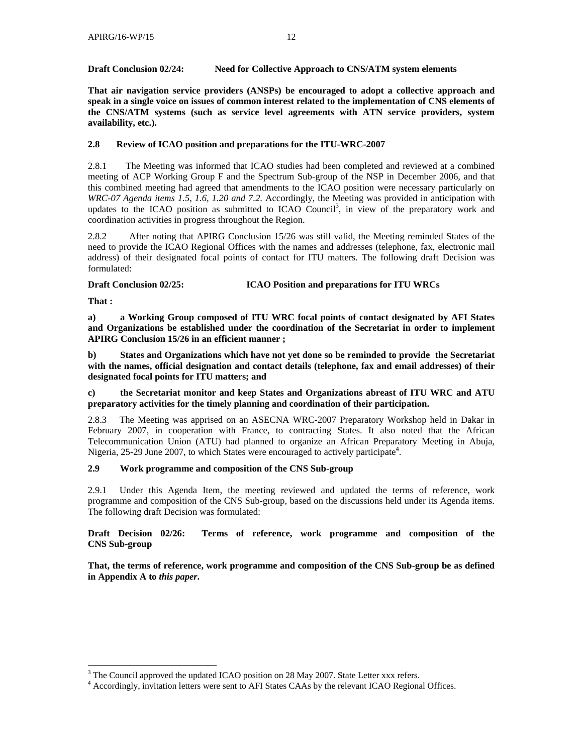# **Draft Conclusion 02/24: Need for Collective Approach to CNS/ATM system elements**

**That air navigation service providers (ANSPs) be encouraged to adopt a collective approach and speak in a single voice on issues of common interest related to the implementation of CNS elements of the CNS/ATM systems (such as service level agreements with ATN service providers, system availability, etc.).** 

# **2.8 Review of ICAO position and preparations for the ITU-WRC-2007**

2.8.1 The Meeting was informed that ICAO studies had been completed and reviewed at a combined meeting of ACP Working Group F and the Spectrum Sub-group of the NSP in December 2006, and that this combined meeting had agreed that amendments to the ICAO position were necessary particularly on *WRC-07 Agenda items 1.5, 1.6, 1.20 and 7.2*. Accordingly, the Meeting was provided in anticipation with updates to the ICAO position as submitted to ICAO Council<sup>3</sup>, in view of the preparatory work and coordination activities in progress throughout the Region.

2.8.2 After noting that APIRG Conclusion 15/26 was still valid, the Meeting reminded States of the need to provide the ICAO Regional Offices with the names and addresses (telephone, fax, electronic mail address) of their designated focal points of contact for ITU matters. The following draft Decision was formulated:

# **Draft Conclusion 02/25: ICAO Position and preparations for ITU WRCs**

**That :** 

 $\overline{\phantom{a}}$ 

**a) a Working Group composed of ITU WRC focal points of contact designated by AFI States and Organizations be established under the coordination of the Secretariat in order to implement APIRG Conclusion 15/26 in an efficient manner ;** 

**b) States and Organizations which have not yet done so be reminded to provide the Secretariat with the names, official designation and contact details (telephone, fax and email addresses) of their designated focal points for ITU matters; and** 

# **c) the Secretariat monitor and keep States and Organizations abreast of ITU WRC and ATU preparatory activities for the timely planning and coordination of their participation.**

2.8.3 The Meeting was apprised on an ASECNA WRC-2007 Preparatory Workshop held in Dakar in February 2007, in cooperation with France, to contracting States. It also noted that the African Telecommunication Union (ATU) had planned to organize an African Preparatory Meeting in Abuja, Nigeria, 25-29 June 2007, to which States were encouraged to actively participate<sup>4</sup>.

# **2.9 Work programme and composition of the CNS Sub-group**

2.9.1 Under this Agenda Item, the meeting reviewed and updated the terms of reference, work programme and composition of the CNS Sub-group, based on the discussions held under its Agenda items. The following draft Decision was formulated:

**Draft Decision 02/26: Terms of reference, work programme and composition of the CNS Sub-group** 

**That, the terms of reference, work programme and composition of the CNS Sub-group be as defined in Appendix A to** *this paper***.** 

 $3$  The Council approved the updated ICAO position on 28 May 2007. State Letter xxx refers.

<sup>&</sup>lt;sup>4</sup> Accordingly, invitation letters were sent to AFI States CAAs by the relevant ICAO Regional Offices.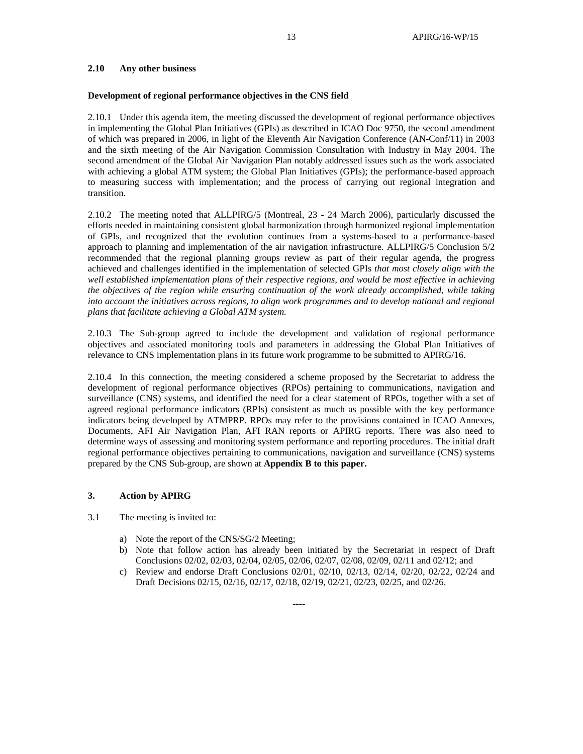# **2.10 Any other business**

#### **Development of regional performance objectives in the CNS field**

2.10.1 Under this agenda item, the meeting discussed the development of regional performance objectives in implementing the Global Plan Initiatives (GPIs) as described in ICAO Doc 9750, the second amendment of which was prepared in 2006, in light of the Eleventh Air Navigation Conference (AN-Conf/11) in 2003 and the sixth meeting of the Air Navigation Commission Consultation with Industry in May 2004. The second amendment of the Global Air Navigation Plan notably addressed issues such as the work associated with achieving a global ATM system; the Global Plan Initiatives (GPIs); the performance-based approach to measuring success with implementation; and the process of carrying out regional integration and transition.

2.10.2 The meeting noted that ALLPIRG/5 (Montreal, 23 - 24 March 2006), particularly discussed the efforts needed in maintaining consistent global harmonization through harmonized regional implementation of GPIs, and recognized that the evolution continues from a systems-based to a performance-based approach to planning and implementation of the air navigation infrastructure. ALLPIRG/5 Conclusion 5/2 recommended that the regional planning groups review as part of their regular agenda, the progress achieved and challenges identified in the implementation of selected GPIs *that most closely align with the well established implementation plans of their respective regions, and would be most effective in achieving the objectives of the region while ensuring continuation of the work already accomplished, while taking into account the initiatives across regions, to align work programmes and to develop national and regional plans that facilitate achieving a Global ATM system.*

2.10.3 The Sub-group agreed to include the development and validation of regional performance objectives and associated monitoring tools and parameters in addressing the Global Plan Initiatives of relevance to CNS implementation plans in its future work programme to be submitted to APIRG/16.

2.10.4 In this connection, the meeting considered a scheme proposed by the Secretariat to address the development of regional performance objectives (RPOs) pertaining to communications, navigation and surveillance (CNS) systems, and identified the need for a clear statement of RPOs, together with a set of agreed regional performance indicators (RPIs) consistent as much as possible with the key performance indicators being developed by ATMPRP. RPOs may refer to the provisions contained in ICAO Annexes, Documents, AFI Air Navigation Plan, AFI RAN reports or APIRG reports. There was also need to determine ways of assessing and monitoring system performance and reporting procedures. The initial draft regional performance objectives pertaining to communications, navigation and surveillance (CNS) systems prepared by the CNS Sub-group, are shown at **Appendix B to this paper.**

#### **3. Action by APIRG**

- 3.1 The meeting is invited to:
	- a) Note the report of the CNS/SG/2 Meeting;
	- b) Note that follow action has already been initiated by the Secretariat in respect of Draft Conclusions 02/02, 02/03, 02/04, 02/05, 02/06, 02/07, 02/08, 02/09, 02/11 and 02/12; and
	- c) Review and endorse Draft Conclusions 02/01, 02/10, 02/13, 02/14, 02/20, 02/22, 02/24 and Draft Decisions 02/15, 02/16, 02/17, 02/18, 02/19, 02/21, 02/23, 02/25, and 02/26.

----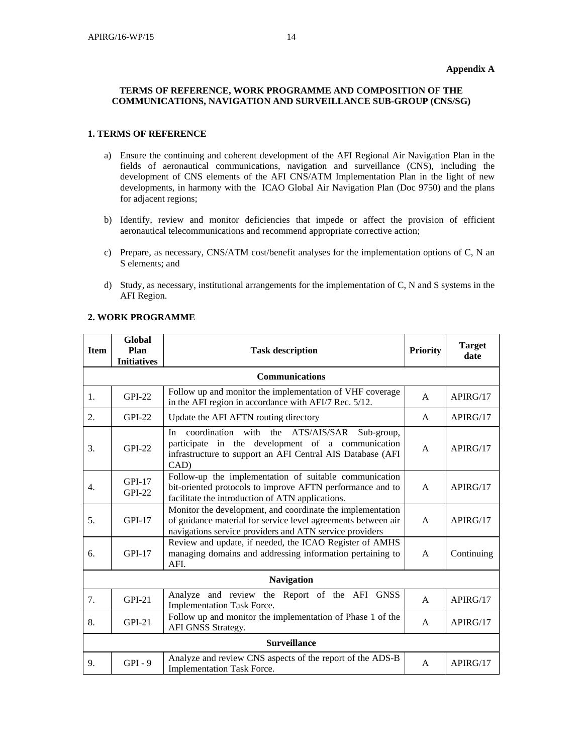# **Appendix A**

### **TERMS OF REFERENCE, WORK PROGRAMME AND COMPOSITION OF THE COMMUNICATIONS, NAVIGATION AND SURVEILLANCE SUB-GROUP (CNS/SG)**

### **1. TERMS OF REFERENCE**

- a) Ensure the continuing and coherent development of the AFI Regional Air Navigation Plan in the fields of aeronautical communications, navigation and surveillance (CNS), including the development of CNS elements of the AFI CNS/ATM Implementation Plan in the light of new developments, in harmony with the ICAO Global Air Navigation Plan (Doc 9750) and the plans for adjacent regions;
- b) Identify, review and monitor deficiencies that impede or affect the provision of efficient aeronautical telecommunications and recommend appropriate corrective action;
- c) Prepare, as necessary, CNS/ATM cost/benefit analyses for the implementation options of C, N an S elements; and
- d) Study, as necessary, institutional arrangements for the implementation of C, N and S systems in the AFI Region.

| <b>Item</b>       | Global<br>Plan       | <b>Task description</b>                                                                                                                                                                |              | <b>Target</b><br>date |  |
|-------------------|----------------------|----------------------------------------------------------------------------------------------------------------------------------------------------------------------------------------|--------------|-----------------------|--|
|                   | <b>Initiatives</b>   |                                                                                                                                                                                        |              |                       |  |
|                   |                      | <b>Communications</b>                                                                                                                                                                  |              |                       |  |
| 1.                | <b>GPI-22</b>        | Follow up and monitor the implementation of VHF coverage<br>in the AFI region in accordance with AFI/7 Rec. 5/12.                                                                      | A            | APIRG/17              |  |
| 2.                | $GPI-22$             | Update the AFI AFTN routing directory                                                                                                                                                  | $\mathsf{A}$ | APIRG/17              |  |
| 3.                | $GPI-22$             | coordination with the ATS/AIS/SAR Sub-group,<br>In<br>participate in the development of a communication<br>infrastructure to support an AFI Central AIS Database (AFI<br>CAD)          | A            | APIRG/17              |  |
| $\overline{4}$ .  | $GPI-17$<br>$GPI-22$ | Follow-up the implementation of suitable communication<br>bit-oriented protocols to improve AFTN performance and to<br>facilitate the introduction of ATN applications.                | $\mathsf{A}$ | APIRG/17              |  |
| 5.                | $GPI-17$             | Monitor the development, and coordinate the implementation<br>of guidance material for service level agreements between air<br>navigations service providers and ATN service providers | $\mathsf{A}$ | APIRG/17              |  |
| 6.                | $GPI-17$             | Review and update, if needed, the ICAO Register of AMHS<br>managing domains and addressing information pertaining to<br>AFI.                                                           | $\mathsf{A}$ | Continuing            |  |
| <b>Navigation</b> |                      |                                                                                                                                                                                        |              |                       |  |
| 7.                | GPI-21               | Analyze and review the Report of the AFI GNSS<br><b>Implementation Task Force.</b>                                                                                                     | $\mathsf{A}$ | APIRG/17              |  |
| 8.                | $GPI-21$             | Follow up and monitor the implementation of Phase 1 of the<br>AFI GNSS Strategy.                                                                                                       | A            | APIRG/17              |  |
|                   | <b>Surveillance</b>  |                                                                                                                                                                                        |              |                       |  |
| 9.                | $GPI - 9$            | Analyze and review CNS aspects of the report of the ADS-B<br><b>Implementation Task Force.</b>                                                                                         | A            | APIRG/17              |  |

### **2. WORK PROGRAMME**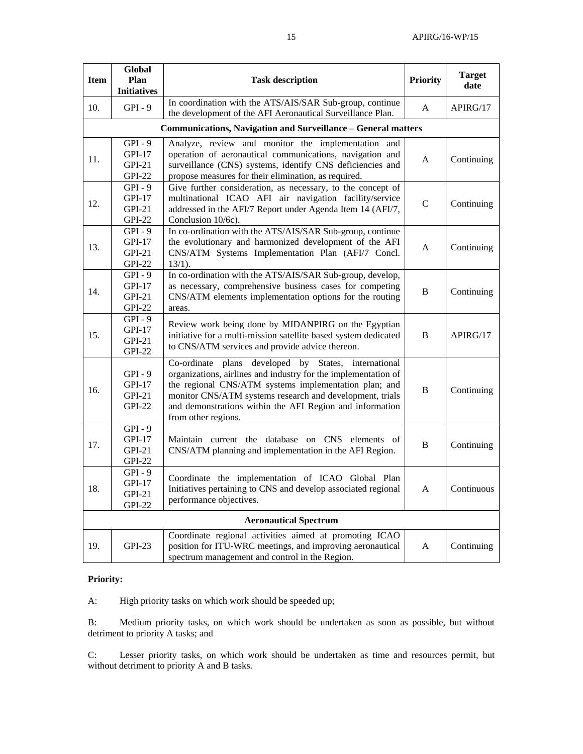| <b>Item</b>                  | Global<br>Plan<br><b>Initiatives</b>               | <b>Task description</b>                                                                                                                                                                                                                                                                                                        | <b>Priority</b> | <b>Target</b><br>date |
|------------------------------|----------------------------------------------------|--------------------------------------------------------------------------------------------------------------------------------------------------------------------------------------------------------------------------------------------------------------------------------------------------------------------------------|-----------------|-----------------------|
| 10.                          | $GPI - 9$                                          | In coordination with the ATS/AIS/SAR Sub-group, continue<br>the development of the AFI Aeronautical Surveillance Plan.                                                                                                                                                                                                         | A               | APIRG/17              |
|                              |                                                    | <b>Communications, Navigation and Surveillance - General matters</b>                                                                                                                                                                                                                                                           |                 |                       |
| 11.                          | $GPI - 9$<br>GPI-17<br>GPI-21<br><b>GPI-22</b>     | Analyze, review and monitor the implementation and<br>operation of aeronautical communications, navigation and<br>surveillance (CNS) systems, identify CNS deficiencies and<br>propose measures for their elimination, as required.                                                                                            | A               | Continuing            |
| 12.                          | $GPI - 9$<br>$GPI-17$<br>$GPI-21$<br><b>GPI-22</b> | Give further consideration, as necessary, to the concept of<br>multinational ICAO AFI air navigation facility/service<br>addressed in the AFI/7 Report under Agenda Item 14 (AFI/7,<br>Conclusion 10/6c).                                                                                                                      | $\mathsf{C}$    | Continuing            |
| 13.                          | $GPI - 9$<br>GPI-17<br>$GPI-21$<br><b>GPI-22</b>   | In co-ordination with the ATS/AIS/SAR Sub-group, continue<br>the evolutionary and harmonized development of the AFI<br>CNS/ATM Systems Implementation Plan (AFI/7 Concl.<br>$13/1$ ).                                                                                                                                          | A               | Continuing            |
| 14.                          | $GPI - 9$<br>$GPI-17$<br>GPI-21<br><b>GPI-22</b>   | In co-ordination with the ATS/AIS/SAR Sub-group, develop,<br>as necessary, comprehensive business cases for competing<br>CNS/ATM elements implementation options for the routing<br>areas.                                                                                                                                     | B               | Continuing            |
| 15.                          | $GPI - 9$<br>GPI-17<br>$GPI-21$<br><b>GPI-22</b>   | Review work being done by MIDANPIRG on the Egyptian<br>initiative for a multi-mission satellite based system dedicated<br>to CNS/ATM services and provide advice thereon.                                                                                                                                                      | B               | APIRG/17              |
| 16.                          | $GPI - 9$<br>GPI-17<br>$GPI-21$<br><b>GPI-22</b>   | Co-ordinate plans developed by States, international<br>organizations, airlines and industry for the implementation of<br>the regional CNS/ATM systems implementation plan; and<br>monitor CNS/ATM systems research and development, trials<br>and demonstrations within the AFI Region and information<br>from other regions. | B               | Continuing            |
| 17.                          | $GPI - 9$<br>GPI-17<br>$GPI-21$<br><b>GPI-22</b>   | Maintain current the database on CNS elements of<br>CNS/ATM planning and implementation in the AFI Region.                                                                                                                                                                                                                     | B               | Continuing            |
| 18.                          | $GPI - 9$<br>GPI-17<br>GPI-21<br><b>GPI-22</b>     | Coordinate the implementation of ICAO Global Plan<br>Initiatives pertaining to CNS and develop associated regional<br>performance objectives.                                                                                                                                                                                  | A               | Continuous            |
| <b>Aeronautical Spectrum</b> |                                                    |                                                                                                                                                                                                                                                                                                                                |                 |                       |
| 19.                          | $GPI-23$                                           | Coordinate regional activities aimed at promoting ICAO<br>position for ITU-WRC meetings, and improving aeronautical<br>spectrum management and control in the Region.                                                                                                                                                          | A               | Continuing            |

# **Priority:**

A: High priority tasks on which work should be speeded up;

B: Medium priority tasks, on which work should be undertaken as soon as possible, but without detriment to priority A tasks; and

C: Lesser priority tasks, on which work should be undertaken as time and resources permit, but without detriment to priority A and B tasks.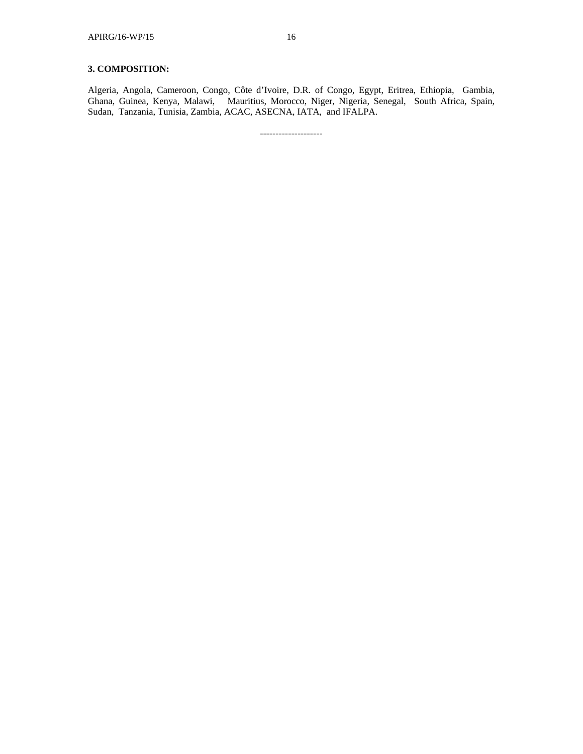# **3. COMPOSITION:**

Algeria, Angola, Cameroon, Congo, Côte d'Ivoire, D.R. of Congo, Egypt, Eritrea, Ethiopia, Gambia, Ghana, Guinea, Kenya, Malawi, Mauritius, Morocco, Niger, Nigeria, Senegal, South Africa, Spain, Sudan, Tanzania, Tunisia, Zambia, ACAC, ASECNA, IATA, and IFALPA.

--------------------